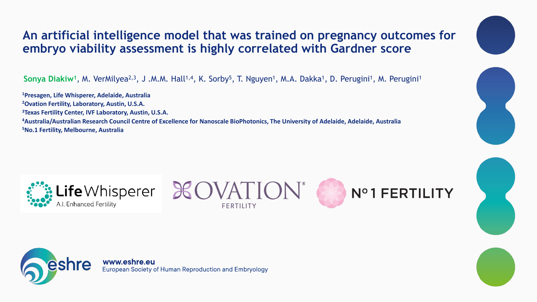### **An artificial intelligence model that was trained on pregnancy outcomes for embryo viability assessment is highly correlated with Gardner score**

Sonya Diakiw<sup>1</sup>, M. VerMilyea<sup>2,3</sup>, J .M.M. Hall<sup>1,4</sup>, K. Sorby<sup>5</sup>, T. Nguyen<sup>1</sup>, M.A. Dakka<sup>1</sup>, D. Perugini<sup>1</sup>, M. Perugini<sup>1</sup>

**Presagen, Life Whisperer, Adelaide, Australia Ovation Fertility, Laboratory, Austin, U.S.A. Texas Fertility Center, IVF Laboratory, Austin, U.S.A. Australia/Australian Research Council Centre of Excellence for Nanoscale BioPhotonics, The University of Adelaide, Adelaide, Australia No.1 Fertility, Melbourne, Australia**







www.eshre.eu **European Society of Human Reproduction and Embryology** 











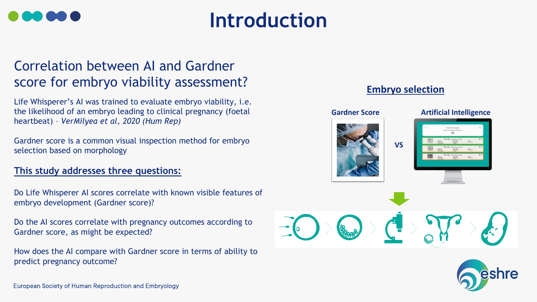### Correlation between AI and Gardner score for embryo viability assessment?

Life Whisperer's AI was trained to evaluate embryo viability, i.e. the likelihood of an embryo leading to clinical pregnancy (foetal heartbeat) – *VerMilyea et al, 2020 (Hum Rep)*

Gardner score is a common visual inspection method for embryo selection based on morphology

### **This study addresses three questions:**

Do Life Whisperer AI scores correlate with known visible features of embryo development (Gardner score)?

Do the AI scores correlate with pregnancy outcomes according to Gardner score, as might be expected?

How does the AI compare with Gardner score in terms of ability to predict pregnancy outcome?

**European Society of Human Reproduction and Embryology** 





## **Introduction**

### **Embryo selection**



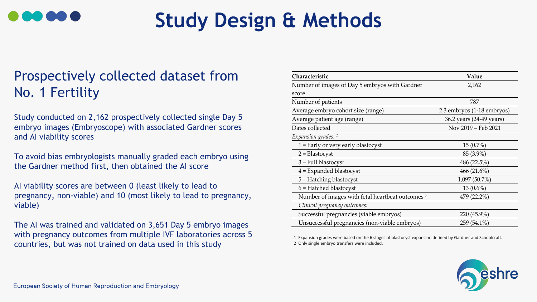### Prospectively collected dataset from No. 1 Fertility

Study conducted on 2,162 prospectively collected single Day 5 embryo images (Embryoscope) with associated Gardner scores and AI viability scores

To avoid bias embryologists manually graded each embryo using the Gardner method first, then obtained the AI score

AI viability scores are between 0 (least likely to lead to pregnancy, non-viable) and 10 (most likely to lead to pregnancy, viable)

The AI was trained and validated on 3,651 Day 5 embryo images with pregnancy outcomes from multiple IVF laboratories across 5 countries, but was not trained on data used in this study



# **Study Design & Methods**

| <b>Characteristic</b>                                       | Value                      |
|-------------------------------------------------------------|----------------------------|
| Number of images of Day 5 embryos with Gardner              | 2,162                      |
| score                                                       |                            |
| Number of patients                                          | 787                        |
| Average embryo cohort size (range)                          | 2.3 embryos (1-18 embryos) |
| Average patient age (range)                                 | 36.2 years (24-49 years)   |
| Dates collected                                             | Nov 2019 – Feb 2021        |
| Expansion grades: 1                                         |                            |
| $1 =$ Early or very early blastocyst                        | $15(0.7\%)$                |
| $2 = Blastocyst$                                            | 85 (3.9%)                  |
| $3$ = Full blastocyst                                       | 486 $(22.5\%)$             |
| $4$ = Expanded blastocyst                                   | 466 $(21.6\%)$             |
| 5 = Hatching blastocyst                                     | $1,097(50.7\%)$            |
| $6$ = Hatched blastocyst                                    | $13(0.6\%)$                |
| Number of images with fetal heartbeat outcomes <sup>2</sup> | 479 (22.2%)                |
| Clinical pregnancy outcomes:                                |                            |
| Successful pregnancies (viable embryos)                     | 220 (45.9%)                |
| Unsuccessful pregnancies (non-viable embryos)               | $259(54.1\%)$              |

1 Expansion grades were based on the 6 stages of blastocyst expansion defined by Gardner and Schoolcraft. 2 Only single embryo transfers were included.

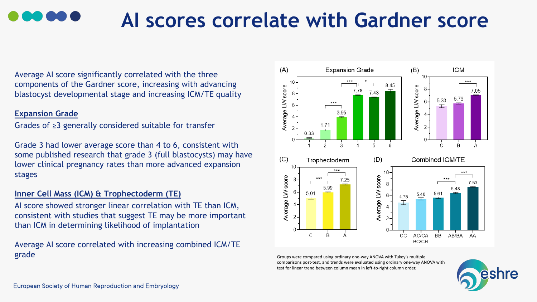Average AI score significantly correlated with the three components of the Gardner score, increasing with advancing blastocyst developmental stage and increasing ICM/TE quality

#### **Expansion Grade**

Grades of ≥3 generally considered suitable for transfer

Grade 3 had lower average score than 4 to 6, consistent with some published research that grade 3 (full blastocysts) may have lower clinical pregnancy rates than more advanced expansion stages

### **Inner Cell Mass (ICM) & Trophectoderm (TE)**

AI score showed stronger linear correlation with TE than ICM, consistent with studies that suggest TE may be more important than ICM in determining likelihood of implantation

Average AI score correlated with increasing combined ICM/TE grade





## **AI scores correlate with Gardner score**

Groups were compared using ordinary one-way ANOVA with Tukey's multiple comparisons post-test, and trends were evaluated using ordinary one-way ANOVA with test for linear trend between column mean in left-to-right column order.

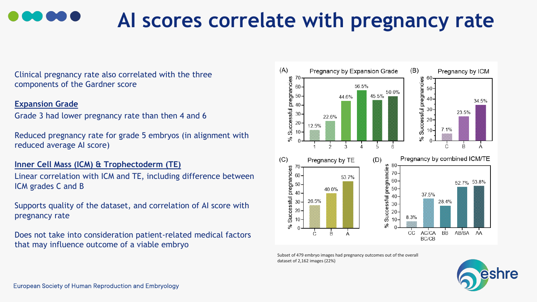# **AI scores correlate with pregnancy rate**

Clinical pregnancy rate also correlated with the three components of the Gardner score

#### **Expansion Grade**

Grade 3 had lower pregnancy rate than then 4 and 6

Reduced pregnancy rate for grade 5 embryos (in alignment with reduced average AI score)

**Inner Cell Mass (ICM) & Trophectoderm (TE)**

Linear correlation with ICM and TE, including difference between ICM grades C and B

Supports quality of the dataset, and correlation of AI score with pregnancy rate

Does not take into consideration patient-related medical factors that may influence outcome of a viable embryo



Subset of 479 embryo images had pregnancy outcomes out of the overall dataset of 2,162 images (22%)

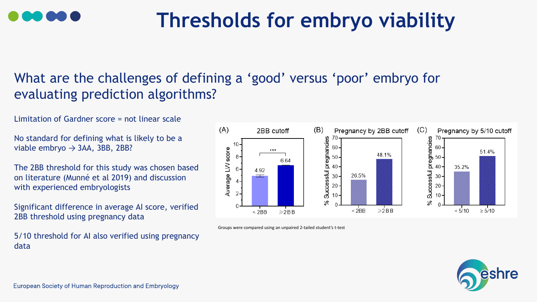

# **Thresholds for embryo viability**

No standard for defining what is likely to be a viable embryo  $\rightarrow$  3AA, 3BB, 2BB?

Limitation of Gardner score = not linear scale

The 2BB threshold for this study was chosen based on literature (Munné et al 2019) and discussion with experienced embryologists

Significant difference in average AI score, verified 2BB threshold using pregnancy data

5/10 threshold for AI also verified using pregnancy data



### What are the challenges of defining a 'good' versus 'poor' embryo for evaluating prediction algorithms?

Groups were compared using an unpaired 2-tailed student's t-test



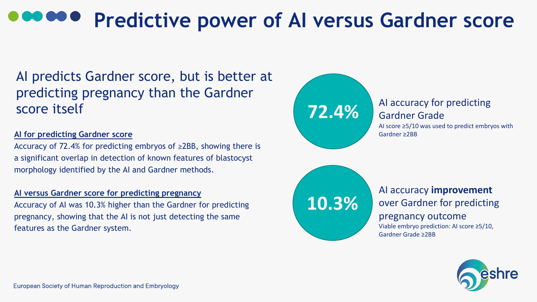AI predicts Gardner score, but is better at predicting pregnancy than the Gardner score itself

#### **AI for predicting Gardner score**

Accuracy of 72.4% for predicting embryos of ≥2BB, showing there is a significant overlap in detection of known features of blastocyst morphology identified by the AI and Gardner methods.

**AI versus Gardner score for predicting pregnancy** Accuracy of AI was 10.3% higher than the Gardner for predicting pregnancy, showing that the AI is not just detecting the same features as the Gardner system.

# **Predictive power of AI versus Gardner score**

## **72.4%**

## **10.3%**

### AI accuracy for predicting Gardner Grade

AI score ≥5/10 was used to predict embryos with Gardner ≥2BB

### AI accuracy **improvement** over Gardner for predicting pregnancy outcome

Viable embryo prediction: AI score ≥5/10, Gardner Grade ≥2BB

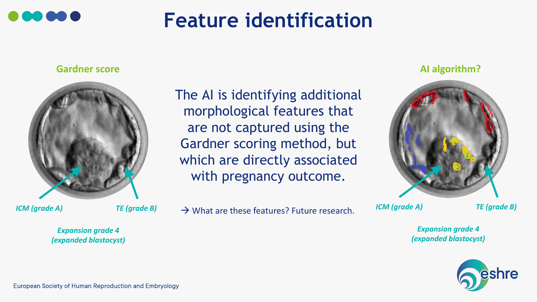The AI is identifying additional morphological features that are not captured using the Gardner scoring method, but which are directly associated with pregnancy outcome.

 $\mathsf{ICM}$  (grade A) *TE* (grade B)  $\rightarrow \mathsf{What}$  are these features? Future research.



# **Feature identification**

*Expansion grade 4 (expanded blastocyst)*

**European Society of Human Reproduction and Embryology** 

**Gardner score**



*Expansion grade 4 (expanded blastocyst)*



*ICM (grade A) TE (grade B)*

### **AI algorithm?**

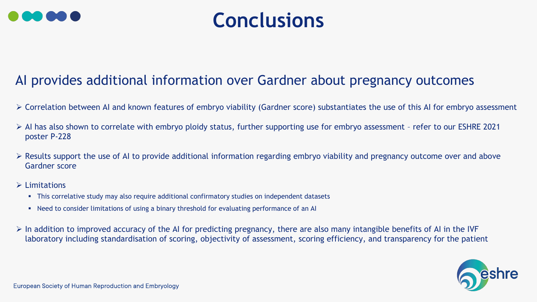### AI provides additional information over Gardner about pregnancy outcomes

- ➢ Correlation between AI and known features of embryo viability (Gardner score) substantiates the use of this AI for embryo assessment
- ➢ AI has also shown to correlate with embryo ploidy status, further supporting use for embryo assessment refer to our ESHRE 2021 poster P-228
- $\triangleright$  Results support the use of AI to provide additional information regarding embryo viability and pregnancy outcome over and above Gardner score
- ➢ Limitations
	- **•** This correlative study may also require additional confirmatory studies on independent datasets
	- Need to consider limitations of using a binary threshold for evaluating performance of an AI
- $\triangleright$  In addition to improved accuracy of the AI for predicting pregnancy, there are also many intangible benefits of AI in the IVF laboratory including standardisation of scoring, objectivity of assessment, scoring efficiency, and transparency for the patient





## **Conclusions**